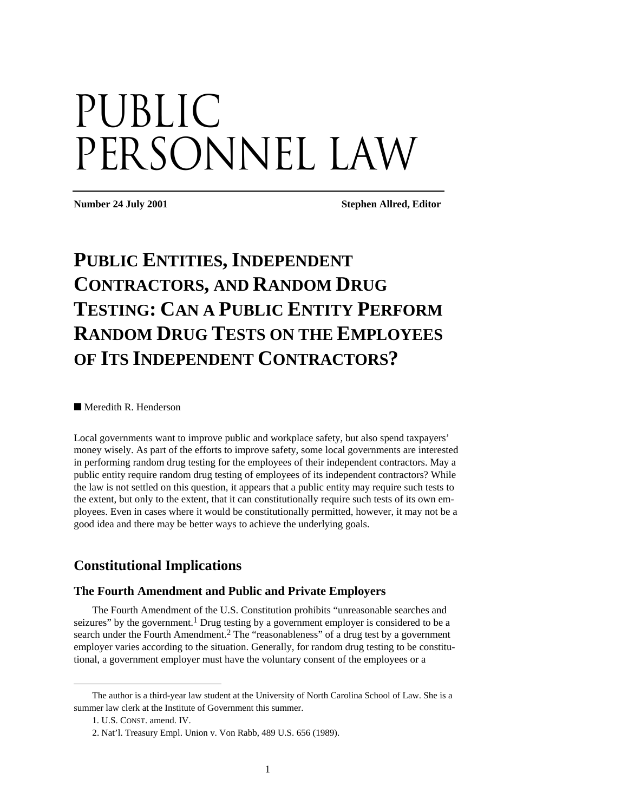# PUBLIC PERSONNEL LAW

**Number 24 July 2001** Stephen Allred, Editor

# **PUBLIC ENTITIES, INDEPENDENT CONTRACTORS, AND RANDOM DRUG TESTING: CAN A PUBLIC ENTITY PERFORM RANDOM DRUG TESTS ON THE EMPLOYEES OF ITS INDEPENDENT CONTRACTORS?**

■ Meredith R. Henderson

Local governments want to improve public and workplace safety, but also spend taxpayers' money wisely. As part of the efforts to improve safety, some local governments are interested in performing random drug testing for the employees of their independent contractors. May a public entity require random drug testing of employees of its independent contractors? While the law is not settled on this question, it appears that a public entity may require such tests to the extent, but only to the extent, that it can constitutionally require such tests of its own employees. Even in cases where it would be constitutionally permitted, however, it may not be a good idea and there may be better ways to achieve the underlying goals.

## **Constitutional Implications**

#### **The Fourth Amendment and Public and Private Employers**

The Fourth Amendment of the U.S. Constitution prohibits "unreasonable searches and seizures" by the government.<sup>1</sup> Drug testing by a government employer is considered to be a search under the Fourth Amendment.<sup>2</sup> The "reasonableness" of a drug test by a government employer varies according to the situation. Generally, for random drug testing to be constitutional, a government employer must have the voluntary consent of the employees or a

 $\overline{a}$ 

The author is a third-year law student at the University of North Carolina School of Law. She is a summer law clerk at the Institute of Government this summer.

<sup>1.</sup> U.S. CONST. amend. IV.

<sup>2.</sup> Nat'l. Treasury Empl. Union v. Von Rabb, 489 U.S. 656 (1989).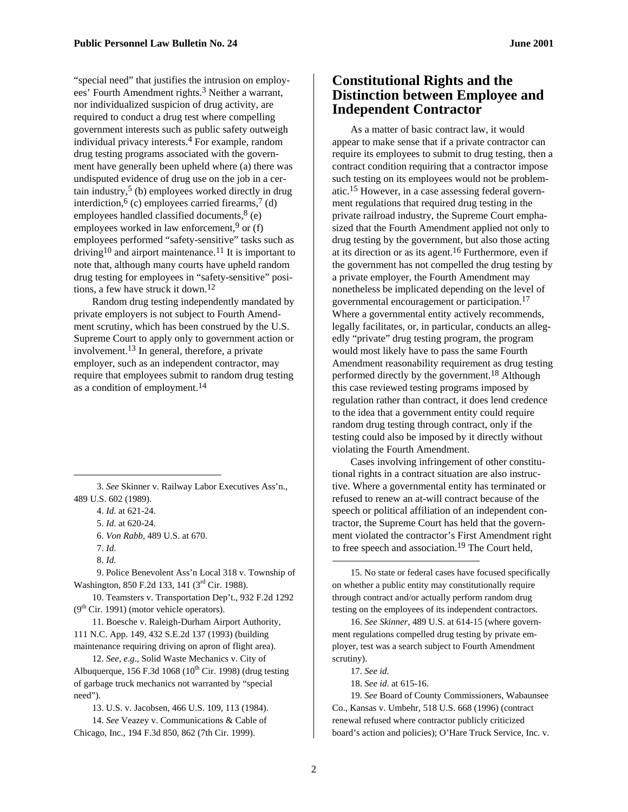"special need" that justifies the intrusion on employees' Fourth Amendment rights.<sup>3</sup> Neither a warrant, nor individualized suspicion of drug activity, are required to conduct a drug test where compelling government interests such as public safety outweigh individual privacy interests.4 For example, random drug testing programs associated with the government have generally been upheld where (a) there was undisputed evidence of drug use on the job in a certain industry, $5$  (b) employees worked directly in drug interdiction,  $6$  (c) employees carried firearms,  $7$  (d) employees handled classified documents, $8$  (e) employees worked in law enforcement,  $9$  or (f) employees performed "safety-sensitive" tasks such as driving<sup>10</sup> and airport maintenance.<sup>11</sup> It is important to note that, although many courts have upheld random drug testing for employees in "safety-sensitive" positions, a few have struck it down.12

Random drug testing independently mandated by private employers is not subject to Fourth Amendment scrutiny, which has been construed by the U.S. Supreme Court to apply only to government action or involvement.13 In general, therefore, a private employer, such as an independent contractor, may require that employees submit to random drug testing as a condition of employment.14

 3. *See* Skinner v. Railway Labor Executives Ass'n., 489 U.S. 602 (1989).

1

 9. Police Benevolent Ass'n Local 318 v. Township of Washington, 850 F.2d 133, 141 (3<sup>rd</sup> Cir. 1988).

10. Teamsters v. Transportation Dep't., 932 F.2d 1292  $(9<sup>th</sup> Cir. 1991)$  (motor vehicle operators).

11. Boesche v. Raleigh-Durham Airport Authority, 111 N.C. App. 149, 432 S.E.2d 137 (1993) (building maintenance requiring driving on apron of flight area).

12. *See*, *e*.*g*., Solid Waste Mechanics v. City of Albuquerque, 156 F.3d 1068 ( $10^{th}$  Cir. 1998) (drug testing of garbage truck mechanics not warranted by "special need").

13. U.S. v. Jacobsen, 466 U.S. 109, 113 (1984).

#### **Constitutional Rights and the Distinction between Employee and Independent Contractor**

As a matter of basic contract law, it would appear to make sense that if a private contractor can require its employees to submit to drug testing, then a contract condition requiring that a contractor impose such testing on its employees would not be problematic.15 However, in a case assessing federal government regulations that required drug testing in the private railroad industry, the Supreme Court emphasized that the Fourth Amendment applied not only to drug testing by the government, but also those acting at its direction or as its agent.<sup>16</sup> Furthermore, even if the government has not compelled the drug testing by a private employer, the Fourth Amendment may nonetheless be implicated depending on the level of governmental encouragement or participation.17 Where a governmental entity actively recommends, legally facilitates, or, in particular, conducts an allegedly "private" drug testing program, the program would most likely have to pass the same Fourth Amendment reasonability requirement as drug testing performed directly by the government.18 Although this case reviewed testing programs imposed by regulation rather than contract, it does lend credence to the idea that a government entity could require random drug testing through contract, only if the testing could also be imposed by it directly without violating the Fourth Amendment.

Cases involving infringement of other constitutional rights in a contract situation are also instructive. Where a governmental entity has terminated or refused to renew an at-will contract because of the speech or political affiliation of an independent contractor, the Supreme Court has held that the government violated the contractor's First Amendment right to free speech and association.<sup>19</sup> The Court held,

15. No state or federal cases have focused specifically on whether a public entity may constitutionally require through contract and/or actually perform random drug testing on the employees of its independent contractors.

16. *See Skinner*, 489 U.S. at 614-15 (where government regulations compelled drug testing by private employer, test was a search subject to Fourth Amendment scrutiny).

17. *See id*.

1

18. *See id*. at 615-16.

19. *See* Board of County Commissioners, Wabaunsee Co., Kansas v. Umbehr, 518 U.S. 668 (1996) (contract renewal refused where contractor publicly criticized board's action and policies); O'Hare Truck Service, Inc. v.

 <sup>4.</sup> *Id*. at 621-24.

 <sup>5.</sup> *Id*. at 620-24.

 <sup>6.</sup> *Von Rabb*, 489 U.S. at 670.

 <sup>7.</sup> *Id*.

 <sup>8.</sup> *Id*.

<sup>14.</sup> *See* Veazey v. Communications & Cable of Chicago, Inc., 194 F.3d 850, 862 (7th Cir. 1999).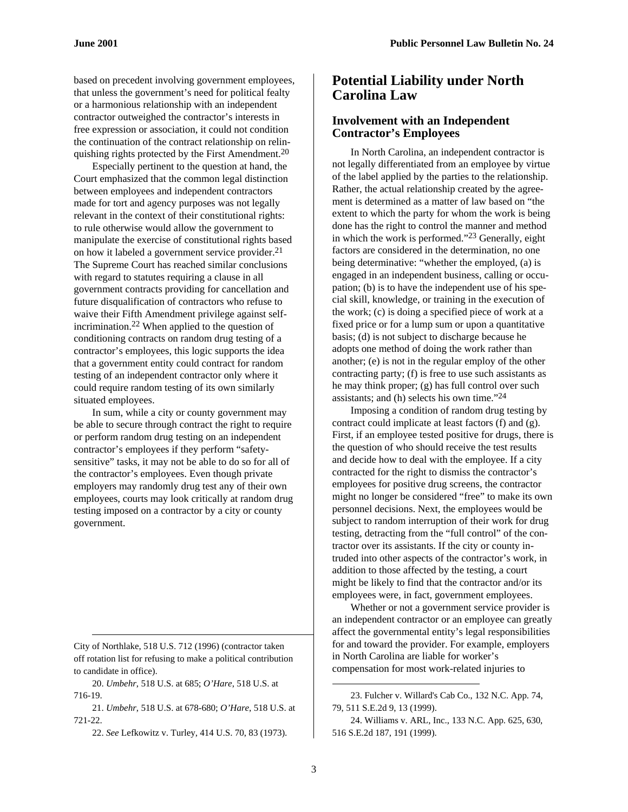based on precedent involving government employees, that unless the government's need for political fealty or a harmonious relationship with an independent contractor outweighed the contractor's interests in free expression or association, it could not condition the continuation of the contract relationship on relinquishing rights protected by the First Amendment.<sup>20</sup>

Especially pertinent to the question at hand, the Court emphasized that the common legal distinction between employees and independent contractors made for tort and agency purposes was not legally relevant in the context of their constitutional rights: to rule otherwise would allow the government to manipulate the exercise of constitutional rights based on how it labeled a government service provider.<sup>21</sup> The Supreme Court has reached similar conclusions with regard to statutes requiring a clause in all government contracts providing for cancellation and future disqualification of contractors who refuse to waive their Fifth Amendment privilege against selfincrimination.22 When applied to the question of conditioning contracts on random drug testing of a contractor's employees, this logic supports the idea that a government entity could contract for random testing of an independent contractor only where it could require random testing of its own similarly situated employees.

In sum, while a city or county government may be able to secure through contract the right to require or perform random drug testing on an independent contractor's employees if they perform "safetysensitive" tasks, it may not be able to do so for all of the contractor's employees. Even though private employers may randomly drug test any of their own employees, courts may look critically at random drug testing imposed on a contractor by a city or county government.

City of Northlake, 518 U.S. 712 (1996) (contractor taken off rotation list for refusing to make a political contribution to candidate in office).

20. *Umbehr*, 518 U.S. at 685; *O'Hare*, 518 U.S. at 716-19.

 $\overline{a}$ 

21. *Umbehr*, 518 U.S. at 678-680; *O'Hare*, 518 U.S. at 721-22.

22. *See* Lefkowitz v. Turley, 414 U.S. 70, 83 (1973).

#### **Potential Liability under North Carolina Law**

#### **Involvement with an Independent Contractor's Employees**

In North Carolina, an independent contractor is not legally differentiated from an employee by virtue of the label applied by the parties to the relationship. Rather, the actual relationship created by the agreement is determined as a matter of law based on "the extent to which the party for whom the work is being done has the right to control the manner and method in which the work is performed."23 Generally, eight factors are considered in the determination, no one being determinative: "whether the employed, (a) is engaged in an independent business, calling or occupation; (b) is to have the independent use of his special skill, knowledge, or training in the execution of the work; (c) is doing a specified piece of work at a fixed price or for a lump sum or upon a quantitative basis; (d) is not subject to discharge because he adopts one method of doing the work rather than another; (e) is not in the regular employ of the other contracting party; (f) is free to use such assistants as he may think proper; (g) has full control over such assistants; and (h) selects his own time."24

Imposing a condition of random drug testing by contract could implicate at least factors (f) and (g). First, if an employee tested positive for drugs, there is the question of who should receive the test results and decide how to deal with the employee. If a city contracted for the right to dismiss the contractor's employees for positive drug screens, the contractor might no longer be considered "free" to make its own personnel decisions. Next, the employees would be subject to random interruption of their work for drug testing, detracting from the "full control" of the contractor over its assistants. If the city or county intruded into other aspects of the contractor's work, in addition to those affected by the testing, a court might be likely to find that the contractor and/or its employees were, in fact, government employees.

Whether or not a government service provider is an independent contractor or an employee can greatly affect the governmental entity's legal responsibilities for and toward the provider. For example, employers in North Carolina are liable for worker's compensation for most work-related injuries to

1

<sup>23.</sup> Fulcher v. Willard's Cab Co., 132 N.C. App. 74, 79, 511 S.E.2d 9, 13 (1999).

<sup>24.</sup> Williams v. ARL, Inc., 133 N.C. App. 625, 630, 516 S.E.2d 187, 191 (1999).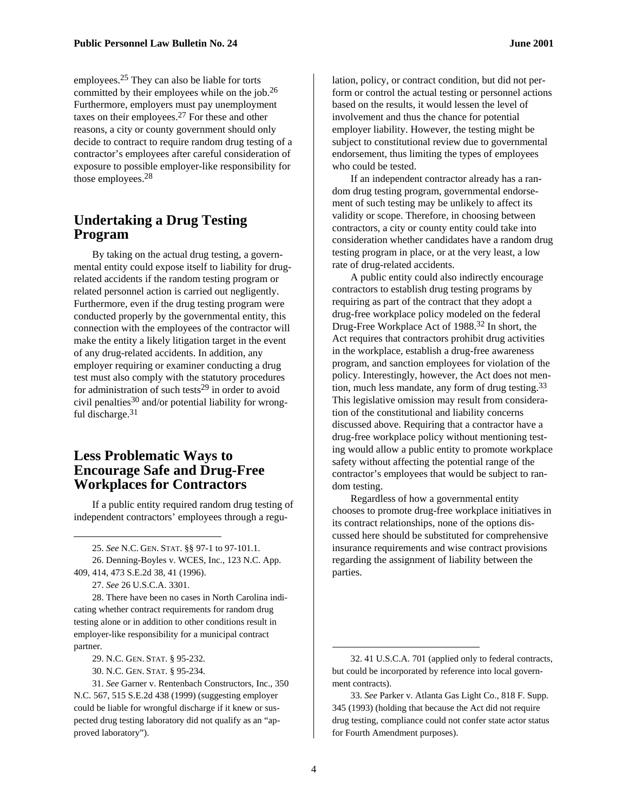employees.25 They can also be liable for torts committed by their employees while on the job.26 Furthermore, employers must pay unemployment taxes on their employees.27 For these and other reasons, a city or county government should only decide to contract to require random drug testing of a contractor's employees after careful consideration of exposure to possible employer-like responsibility for those employees.28

#### **Undertaking a Drug Testing Program**

By taking on the actual drug testing, a governmental entity could expose itself to liability for drugrelated accidents if the random testing program or related personnel action is carried out negligently. Furthermore, even if the drug testing program were conducted properly by the governmental entity, this connection with the employees of the contractor will make the entity a likely litigation target in the event of any drug-related accidents. In addition, any employer requiring or examiner conducting a drug test must also comply with the statutory procedures for administration of such tests<sup>29</sup> in order to avoid civil penalties<sup>30</sup> and/or potential liability for wrongful discharge.<sup>31</sup>

#### **Less Problematic Ways to Encourage Safe and Drug-Free Workplaces for Contractors**

If a public entity required random drug testing of independent contractors' employees through a regu-

25. *See* N.C. GEN. STAT. §§ 97-1 to 97-101.1. 26. Denning-Boyles v. WCES, Inc., 123 N.C. App. 409, 414, 473 S.E.2d 38, 41 (1996).

27. *See* 26 U.S.C.A. 3301.

 $\overline{a}$ 

28. There have been no cases in North Carolina indicating whether contract requirements for random drug testing alone or in addition to other conditions result in employer-like responsibility for a municipal contract partner.

29. N.C. GEN. STAT. § 95-232.

30. N.C. GEN. STAT. § 95-234.

31. *See* Garner v. Rentenbach Constructors, Inc., 350 N.C. 567, 515 S.E.2d 438 (1999) (suggesting employer could be liable for wrongful discharge if it knew or suspected drug testing laboratory did not qualify as an "approved laboratory").

lation, policy, or contract condition, but did not perform or control the actual testing or personnel actions based on the results, it would lessen the level of involvement and thus the chance for potential employer liability. However, the testing might be subject to constitutional review due to governmental endorsement, thus limiting the types of employees who could be tested.

If an independent contractor already has a random drug testing program, governmental endorsement of such testing may be unlikely to affect its validity or scope. Therefore, in choosing between contractors, a city or county entity could take into consideration whether candidates have a random drug testing program in place, or at the very least, a low rate of drug-related accidents.

A public entity could also indirectly encourage contractors to establish drug testing programs by requiring as part of the contract that they adopt a drug-free workplace policy modeled on the federal Drug-Free Workplace Act of 1988.32 In short, the Act requires that contractors prohibit drug activities in the workplace, establish a drug-free awareness program, and sanction employees for violation of the policy. Interestingly, however, the Act does not mention, much less mandate, any form of drug testing.33 This legislative omission may result from consideration of the constitutional and liability concerns discussed above. Requiring that a contractor have a drug-free workplace policy without mentioning testing would allow a public entity to promote workplace safety without affecting the potential range of the contractor's employees that would be subject to random testing.

Regardless of how a governmental entity chooses to promote drug-free workplace initiatives in its contract relationships, none of the options discussed here should be substituted for comprehensive insurance requirements and wise contract provisions regarding the assignment of liability between the parties.

1

<sup>32. 41</sup> U.S.C.A. 701 (applied only to federal contracts, but could be incorporated by reference into local government contracts).

<sup>33.</sup> *See* Parker v. Atlanta Gas Light Co., 818 F. Supp. 345 (1993) (holding that because the Act did not require drug testing, compliance could not confer state actor status for Fourth Amendment purposes).